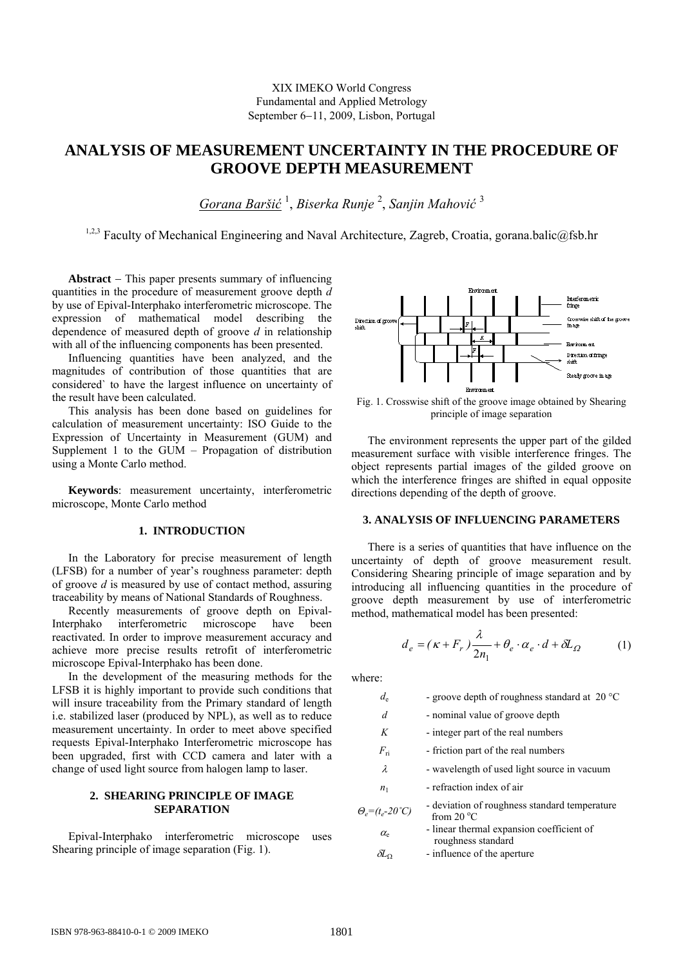# **ANALYSIS OF MEASUREMENT UNCERTAINTY IN THE PROCEDURE OF GROOVE DEPTH MEASUREMENT**

*Gorana Baršić* <sup>1</sup> , *Biserka Runje* <sup>2</sup> , *Sanjin Mahović* <sup>3</sup>

<sup>1,2,3</sup> Faculty of Mechanical Engineering and Naval Architecture, Zagreb, Croatia, gorana.balic@fsb.hr

**Abstract** − This paper presents summary of influencing quantities in the procedure of measurement groove depth *d* by use of Epival-Interphako interferometric microscope. The expression of mathematical model describing the dependence of measured depth of groove *d* in relationship with all of the influencing components has been presented.

Influencing quantities have been analyzed, and the magnitudes of contribution of those quantities that are considered` to have the largest influence on uncertainty of the result have been calculated.

This analysis has been done based on guidelines for calculation of measurement uncertainty: ISO Guide to the Expression of Uncertainty in Measurement (GUM) and Supplement 1 to the GUM – Propagation of distribution using a Monte Carlo method.

**Keywords**: measurement uncertainty, interferometric microscope, Monte Carlo method

# **1. INTRODUCTION**

In the Laboratory for precise measurement of length (LFSB) for a number of year's roughness parameter: depth of groove *d* is measured by use of contact method, assuring traceability by means of National Standards of Roughness.

Recently measurements of groove depth on Epival-Interphako interferometric microscope have been reactivated. In order to improve measurement accuracy and achieve more precise results retrofit of interferometric microscope Epival-Interphako has been done.

In the development of the measuring methods for the LFSB it is highly important to provide such conditions that will insure traceability from the Primary standard of length i.e. stabilized laser (produced by NPL), as well as to reduce measurement uncertainty. In order to meet above specified requests Epival-Interphako Interferometric microscope has been upgraded, first with CCD camera and later with a change of used light source from halogen lamp to laser.

# **2. SHEARING PRINCIPLE OF IMAGE SEPARATION**

Epival-Interphako interferometric microscope uses Shearing principle of image separation (Fig. 1).



Fig. 1. Crosswise shift of the groove image obtained by Shearing principle of image separation

The environment represents the upper part of the gilded measurement surface with visible interference fringes. The object represents partial images of the gilded groove on which the interference fringes are shifted in equal opposite directions depending of the depth of groove.

# **3. ANALYSIS OF INFLUENCING PARAMETERS**

There is a series of quantities that have influence on the uncertainty of depth of groove measurement result. Considering Shearing principle of image separation and by introducing all influencing quantities in the procedure of groove depth measurement by use of interferometric method, mathematical model has been presented:

$$
d_e = (\kappa + F_r) \frac{\lambda}{2n_1} + \theta_e \cdot \alpha_e \cdot d + \delta L_\Omega \tag{1}
$$

where:

| d <sub>e</sub> | - groove depth of roughness standard at $20^{\circ}$ C |  |  |
|----------------|--------------------------------------------------------|--|--|
|----------------|--------------------------------------------------------|--|--|

*d* - nominal value of groove depth

- *K*  integer part of the real numbers
- $F_{\text{ri}}$  friction part of the real numbers
- $\lambda$  wavelength of used light source in vacuum
- $n_1$  refraction index of air
- *<sup>Θ</sup>e=(te-20˚C)* deviation of roughness standard temperature from 20 $\mathrm{^{\circ}C}$ 
	- $\alpha$  linear thermal expansion coefficient of roughness standard
	- <sup>δ</sup>*L*<sup>Ω</sup> influence of the aperture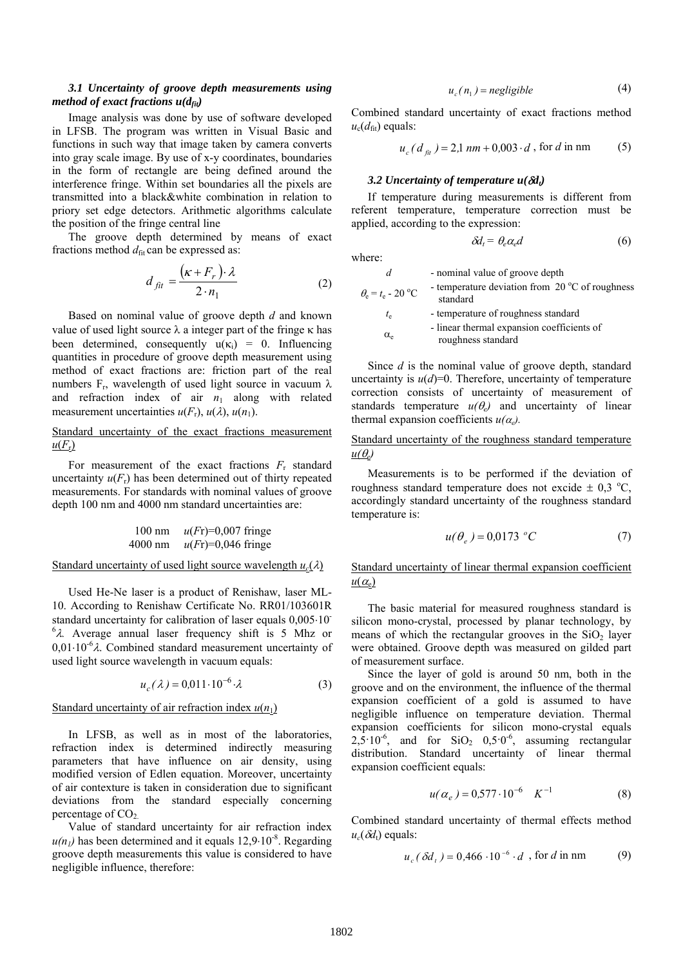# *3.1 Uncertainty of groove depth measurements using method of exact fractions*  $u(d_{fit})$

Image analysis was done by use of software developed in LFSB. The program was written in Visual Basic and functions in such way that image taken by camera converts into gray scale image. By use of x-y coordinates, boundaries in the form of rectangle are being defined around the interference fringe. Within set boundaries all the pixels are transmitted into a black&white combination in relation to priory set edge detectors. Arithmetic algorithms calculate the position of the fringe central line

The groove depth determined by means of exact fractions method  $d_{\text{fit}}$  can be expressed as:

$$
d_{fit} = \frac{(\kappa + F_r) \cdot \lambda}{2 \cdot n_1} \tag{2}
$$

Based on nominal value of groove depth *d* and known value of used light source λ a integer part of the fringe κ has been determined, consequently  $u(\kappa_i) = 0$ . Influencing quantities in procedure of groove depth measurement using method of exact fractions are: friction part of the real numbers  $F_r$ , wavelength of used light source in vacuum  $\lambda$ and refraction index of air  $n_1$  along with related measurement uncertainties  $u(F_r)$ ,  $u(\lambda)$ ,  $u(n_1)$ .

# Standard uncertainty of the exact fractions measurement  $u(F_r)$

For measurement of the exact fractions  $F_r$  standard uncertainty  $u(F_r)$  has been determined out of thirty repeated measurements. For standards with nominal values of groove depth 100 nm and 4000 nm standard uncertainties are:

100 nm 
$$
u(Fr)=0.007
$$
 fringe  
4000 nm  $u(Fr)=0.046$  fringe

# Standard uncertainty of used light source wavelength  $u_c(\lambda)$

Used He-Ne laser is a product of Renishaw, laser ML-10. According to Renishaw Certificate No. RR01/103601R standard uncertainty for calibration of laser equals  $0,005 \cdot 10^{-1}$  $<sup>6</sup>λ$ . Average annual laser frequency shift is 5 Mhz or</sup>  $0.01 \cdot 10^{-6} \lambda$ . Combined standard measurement uncertainty of used light source wavelength in vacuum equals:

$$
u_c(\lambda) = 0.011 \cdot 10^{-6} \cdot \lambda \tag{3}
$$

### Standard uncertainty of air refraction index  $u(n_1)$

In LFSB, as well as in most of the laboratories, refraction index is determined indirectly measuring parameters that have influence on air density, using modified version of Edlen equation. Moreover, uncertainty of air contexture is taken in consideration due to significant deviations from the standard especially concerning percentage of  $CO<sub>2</sub>$ .

Value of standard uncertainty for air refraction index  $u(n_1)$  has been determined and it equals  $12.9 \cdot 10^{-8}$ . Regarding groove depth measurements this value is considered to have negligible influence, therefore:

$$
u_c(n_1) = negligible
$$
 (4)

Combined standard uncertainty of exact fractions method  $u_{\rm c}(d_{\rm fit})$  equals:

$$
u_c(d_{fit}) = 2.1 \, nm + 0.003 \cdot d \, , \text{ for } d \text{ in nm} \tag{5}
$$

#### *3.2 Uncertainty of temperature u(δd<sub>t</sub>)*

If temperature during measurements is different from referent temperature, temperature correction must be applied, according to the expression:

$$
\delta d_t = \theta_e \alpha_e d \tag{6}
$$

where:

| d                                                      | - nominal value of groove depth                                      |
|--------------------------------------------------------|----------------------------------------------------------------------|
| $\theta_{\rm e} = t_{\rm e} - 20 \,^{\circ}\mathrm{C}$ | - temperature deviation from $20^{\circ}$ C of roughness<br>standard |
| $t_{\rm e}$                                            | - temperature of roughness standard                                  |
| $\alpha_e$                                             | - linear thermal expansion coefficients of<br>roughness standard     |

Since *d* is the nominal value of groove depth, standard uncertainty is  $u(d)=0$ . Therefore, uncertainty of temperature correction consists of uncertainty of measurement of standards temperature  $u(\theta_e)$  and uncertainty of linear thermal expansion coefficients  $u(\alpha_e)$ .

# Standard uncertainty of the roughness standard temperature  $u(\theta_e)$

Measurements is to be performed if the deviation of roughness standard temperature does not excide  $\pm$  0,3 °C, accordingly standard uncertainty of the roughness standard temperature is:

$$
u(\theta_e) = 0.0173 \, ^\circ C \tag{7}
$$

Standard uncertainty of linear thermal expansion coefficient  $u(\alpha_e)$ 

The basic material for measured roughness standard is silicon mono-crystal, processed by planar technology, by means of which the rectangular grooves in the  $SiO<sub>2</sub>$  layer were obtained. Groove depth was measured on gilded part of measurement surface.

Since the layer of gold is around 50 nm, both in the groove and on the environment, the influence of the thermal expansion coefficient of a gold is assumed to have negligible influence on temperature deviation. Thermal expansion coefficients for silicon mono-crystal equals  $2,5.10^{-6}$ , and for SiO<sub>2</sub> 0,5 $\cdot$ 0<sup>-6</sup>, assuming rectangular distribution. Standard uncertainty of linear thermal expansion coefficient equals:

$$
u(\alpha_e) = 0.577 \cdot 10^{-6} \quad K^{-1} \tag{8}
$$

Combined standard uncertainty of thermal effects method  $u_c(\delta d_t)$  equals:

$$
u_c(\delta d_t) = 0.466 \cdot 10^{-6} \cdot d
$$
, for d in nm (9)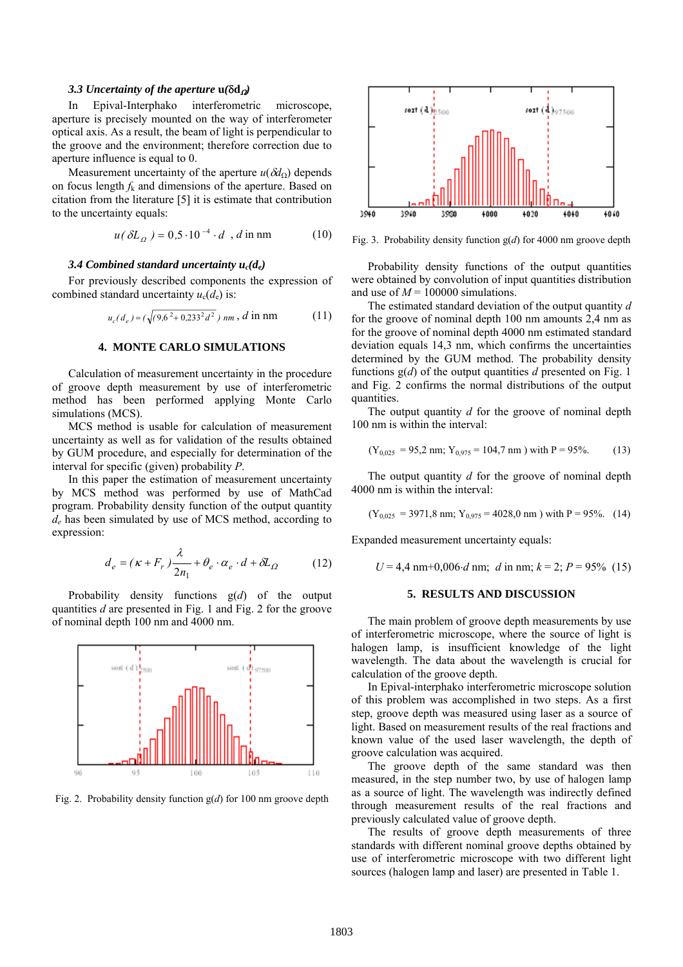#### *3.3 Uncertainty of the aperture*  $u(\delta d<sub>Ω</sub>)$

In Epival-Interphako interferometric microscope, aperture is precisely mounted on the way of interferometer optical axis. As a result, the beam of light is perpendicular to the groove and the environment; therefore correction due to aperture influence is equal to 0.

Measurement uncertainty of the aperture  $u(\delta d_{\Omega})$  depends on focus length *f*k and dimensions of the aperture. Based on citation from the literature [5] it is estimate that contribution to the uncertainty equals:

$$
u(\delta L_{\Omega}) = 0.5 \cdot 10^{-4} \cdot d \, , d \text{ in nm} \tag{10}
$$

For previously described components the expression of combined standard uncertainty  $u_c(d_e)$  is:

$$
u_c(d_e) = (\sqrt{(9.6^2 + 0.233^2 d^2}) \, nm \, , \, d \text{ in nm} \tag{11}
$$

# **4. MONTE CARLO SIMULATIONS**

Calculation of measurement uncertainty in the procedure of groove depth measurement by use of interferometric method has been performed applying Monte Carlo simulations (MCS).

MCS method is usable for calculation of measurement uncertainty as well as for validation of the results obtained by GUM procedure, and especially for determination of the interval for specific (given) probability *P*.

In this paper the estimation of measurement uncertainty by MCS method was performed by use of MathCad program. Probability density function of the output quantity *de* has been simulated by use of MCS method, according to expression:

$$
d_e = (\kappa + F_r) \frac{\lambda}{2n_1} + \theta_e \cdot \alpha_e \cdot d + \delta L_\Omega \tag{12}
$$

Probability density functions g(*d*) of the output quantities *d* are presented in Fig. 1 and Fig. 2 for the groove of nominal depth 100 nm and 4000 nm.



Fig. 2. Probability density function g(*d*) for 100 nm groove depth



Fig. 3. Probability density function g(*d*) for 4000 nm groove depth

3.4 Combined standard uncertainty  $u_c(d_e)$  Probability density functions of the output quantities were obtained by convolution of input quantities distribution and use of  $M = 100000$  simulations.

> The estimated standard deviation of the output quantity *d* for the groove of nominal depth 100 nm amounts 2,4 nm as for the groove of nominal depth 4000 nm estimated standard deviation equals 14,3 nm, which confirms the uncertainties determined by the GUM method. The probability density functions g(*d*) of the output quantities *d* presented on Fig. 1 and Fig. 2 confirms the normal distributions of the output quantities.

> The output quantity *d* for the groove of nominal depth 100 nm is within the interval:

$$
(Y_{0,025} = 95,2 \text{ nm}; Y_{0,975} = 104,7 \text{ nm})
$$
 with P = 95%. (13)

The output quantity *d* for the groove of nominal depth 4000 nm is within the interval:

$$
(Y_{0,025} = 3971,8 \text{ nm}; Y_{0,975} = 4028,0 \text{ nm})
$$
 with P = 95%. (14)

Expanded measurement uncertainty equals:

 $U = 4.4$  nm+0,006⋅*d* nm; *d* in nm;  $k = 2$ ;  $P = 95\%$  (15)

#### **5. RESULTS AND DISCUSSION**

The main problem of groove depth measurements by use of interferometric microscope, where the source of light is halogen lamp, is insufficient knowledge of the light wavelength. The data about the wavelength is crucial for calculation of the groove depth.

In Epival-interphako interferometric microscope solution of this problem was accomplished in two steps. As a first step, groove depth was measured using laser as a source of light. Based on measurement results of the real fractions and known value of the used laser wavelength, the depth of groove calculation was acquired.

The groove depth of the same standard was then measured, in the step number two, by use of halogen lamp as a source of light. The wavelength was indirectly defined through measurement results of the real fractions and previously calculated value of groove depth.

The results of groove depth measurements of three standards with different nominal groove depths obtained by use of interferometric microscope with two different light sources (halogen lamp and laser) are presented in Table 1.